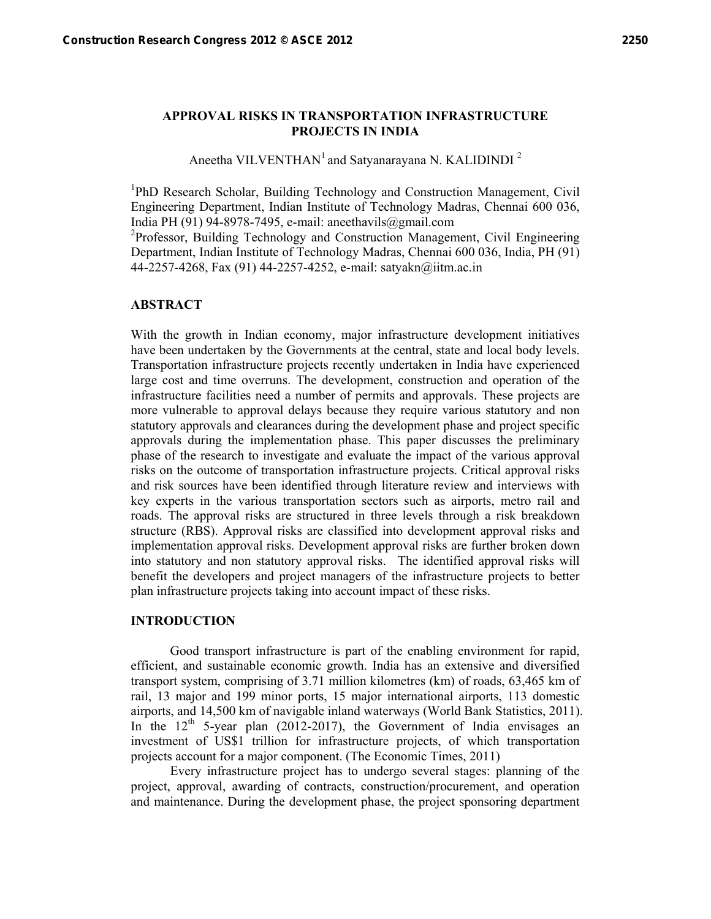## **APPROVAL RISKS IN TRANSPORTATION INFRASTRUCTURE PROJECTS IN INDIA**

# Aneetha VILVENTHAN<sup>1</sup> and Satyanarayana N. KALIDINDI<sup>2</sup>

<sup>1</sup>PhD Research Scholar, Building Technology and Construction Management, Civil Engineering Department, Indian Institute of Technology Madras, Chennai 600 036, India PH (91) 94-8978-7495, e-mail: aneethavils@gmail.com <sup>2</sup>Professor, Building Technology and Construction Management, Civil Engineering

Department, Indian Institute of Technology Madras, Chennai 600 036, India, PH (91) 44-2257-4268, Fax (91) 44-2257-4252, e-mail: satyakn@iitm.ac.in

### **ABSTRACT**

With the growth in Indian economy, major infrastructure development initiatives have been undertaken by the Governments at the central, state and local body levels. Transportation infrastructure projects recently undertaken in India have experienced large cost and time overruns. The development, construction and operation of the infrastructure facilities need a number of permits and approvals. These projects are more vulnerable to approval delays because they require various statutory and non statutory approvals and clearances during the development phase and project specific approvals during the implementation phase. This paper discusses the preliminary phase of the research to investigate and evaluate the impact of the various approval risks on the outcome of transportation infrastructure projects. Critical approval risks and risk sources have been identified through literature review and interviews with key experts in the various transportation sectors such as airports, metro rail and roads. The approval risks are structured in three levels through a risk breakdown structure (RBS). Approval risks are classified into development approval risks and implementation approval risks. Development approval risks are further broken down into statutory and non statutory approval risks. The identified approval risks will benefit the developers and project managers of the infrastructure projects to better plan infrastructure projects taking into account impact of these risks.

### **INTRODUCTION**

Good transport infrastructure is part of the enabling environment for rapid, efficient, and sustainable economic growth. India has an extensive and diversified transport system, comprising of 3.71 million kilometres (km) of roads, 63,465 km of rail, 13 major and 199 minor ports, 15 major international airports, 113 domestic airports, and 14,500 km of navigable inland waterways (World Bank Statistics, 2011). In the  $12<sup>th</sup>$  5-year plan (2012-2017), the Government of India envisages an investment of US\$1 trillion for infrastructure projects, of which transportation projects account for a major component. (The Economic Times, 2011)

Every infrastructure project has to undergo several stages: planning of the project, approval, awarding of contracts, construction/procurement, and operation and maintenance. During the development phase, the project sponsoring department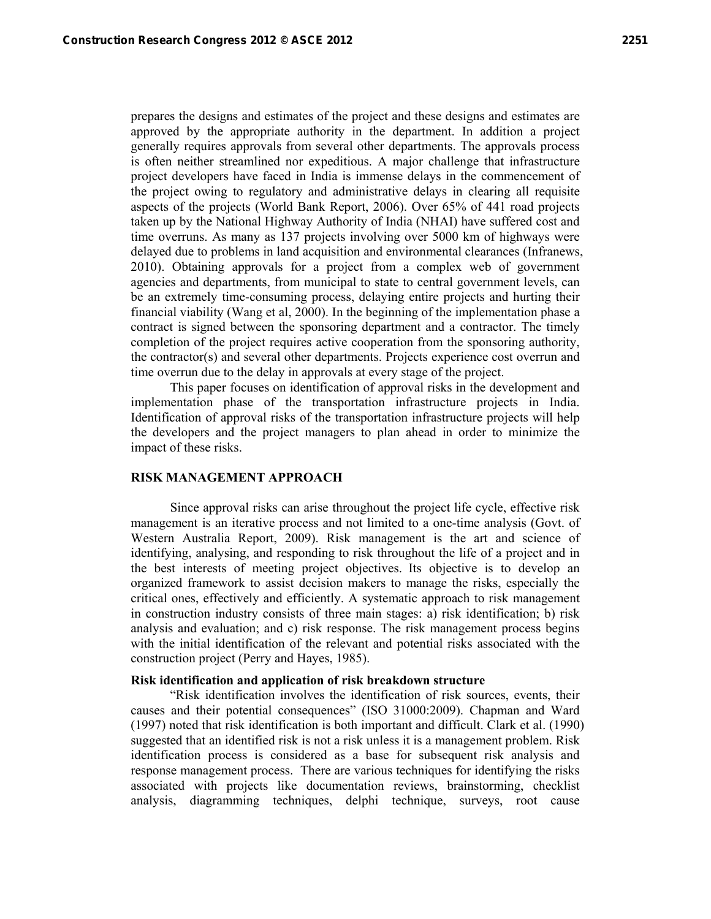prepares the designs and estimates of the project and these designs and estimates are approved by the appropriate authority in the department. In addition a project generally requires approvals from several other departments. The approvals process is often neither streamlined nor expeditious. A major challenge that infrastructure project developers have faced in India is immense delays in the commencement of the project owing to regulatory and administrative delays in clearing all requisite aspects of the projects (World Bank Report, 2006). Over 65% of 441 road projects taken up by the National Highway Authority of India (NHAI) have suffered cost and time overruns. As many as 137 projects involving over 5000 km of highways were delayed due to problems in land acquisition and environmental clearances (Infranews, 2010). Obtaining approvals for a project from a complex web of government agencies and departments, from municipal to state to central government levels, can be an extremely time-consuming process, delaying entire projects and hurting their financial viability (Wang et al, 2000). In the beginning of the implementation phase a contract is signed between the sponsoring department and a contractor. The timely completion of the project requires active cooperation from the sponsoring authority, the contractor(s) and several other departments. Projects experience cost overrun and time overrun due to the delay in approvals at every stage of the project.

This paper focuses on identification of approval risks in the development and implementation phase of the transportation infrastructure projects in India. Identification of approval risks of the transportation infrastructure projects will help the developers and the project managers to plan ahead in order to minimize the impact of these risks.

### **RISK MANAGEMENT APPROACH**

Since approval risks can arise throughout the project life cycle, effective risk management is an iterative process and not limited to a one-time analysis (Govt. of Western Australia Report, 2009). Risk management is the art and science of identifying, analysing, and responding to risk throughout the life of a project and in the best interests of meeting project objectives. Its objective is to develop an organized framework to assist decision makers to manage the risks, especially the critical ones, effectively and efficiently. A systematic approach to risk management in construction industry consists of three main stages: a) risk identification; b) risk analysis and evaluation; and c) risk response. The risk management process begins with the initial identification of the relevant and potential risks associated with the construction project (Perry and Hayes, 1985).

### **Risk identification and application of risk breakdown structure**

"Risk identification involves the identification of risk sources, events, their causes and their potential consequences" (ISO 31000:2009). Chapman and Ward (1997) noted that risk identification is both important and difficult. Clark et al. (1990) suggested that an identified risk is not a risk unless it is a management problem. Risk identification process is considered as a base for subsequent risk analysis and response management process. There are various techniques for identifying the risks associated with projects like documentation reviews, brainstorming, checklist analysis, diagramming techniques, delphi technique, surveys, root cause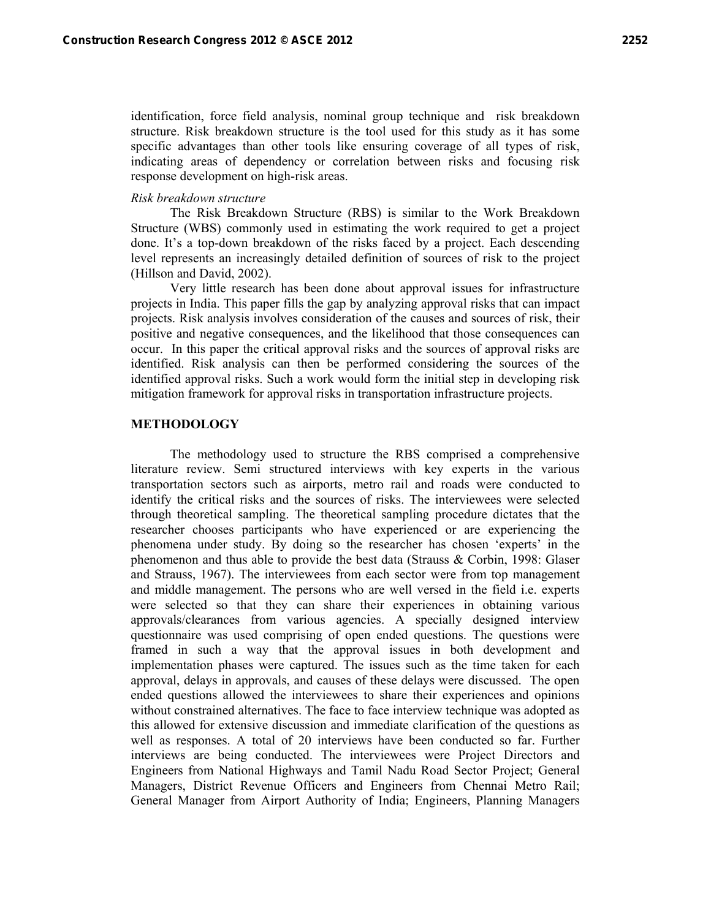identification, force field analysis, nominal group technique and risk breakdown structure. Risk breakdown structure is the tool used for this study as it has some specific advantages than other tools like ensuring coverage of all types of risk, indicating areas of dependency or correlation between risks and focusing risk response development on high-risk areas.

### *Risk breakdown structure*

 The Risk Breakdown Structure (RBS) is similar to the Work Breakdown Structure (WBS) commonly used in estimating the work required to get a project done. It's a top-down breakdown of the risks faced by a project. Each descending level represents an increasingly detailed definition of sources of risk to the project (Hillson and David, 2002).

Very little research has been done about approval issues for infrastructure projects in India. This paper fills the gap by analyzing approval risks that can impact projects. Risk analysis involves consideration of the causes and sources of risk, their positive and negative consequences, and the likelihood that those consequences can occur. In this paper the critical approval risks and the sources of approval risks are identified. Risk analysis can then be performed considering the sources of the identified approval risks. Such a work would form the initial step in developing risk mitigation framework for approval risks in transportation infrastructure projects.

### **METHODOLOGY**

The methodology used to structure the RBS comprised a comprehensive literature review. Semi structured interviews with key experts in the various transportation sectors such as airports, metro rail and roads were conducted to identify the critical risks and the sources of risks. The interviewees were selected through theoretical sampling. The theoretical sampling procedure dictates that the researcher chooses participants who have experienced or are experiencing the phenomena under study. By doing so the researcher has chosen 'experts' in the phenomenon and thus able to provide the best data (Strauss & Corbin, 1998: Glaser and Strauss, 1967). The interviewees from each sector were from top management and middle management. The persons who are well versed in the field i.e. experts were selected so that they can share their experiences in obtaining various approvals/clearances from various agencies. A specially designed interview questionnaire was used comprising of open ended questions. The questions were framed in such a way that the approval issues in both development and implementation phases were captured. The issues such as the time taken for each approval, delays in approvals, and causes of these delays were discussed. The open ended questions allowed the interviewees to share their experiences and opinions without constrained alternatives. The face to face interview technique was adopted as this allowed for extensive discussion and immediate clarification of the questions as well as responses. A total of 20 interviews have been conducted so far. Further interviews are being conducted. The interviewees were Project Directors and Engineers from National Highways and Tamil Nadu Road Sector Project; General Managers, District Revenue Officers and Engineers from Chennai Metro Rail; General Manager from Airport Authority of India; Engineers, Planning Managers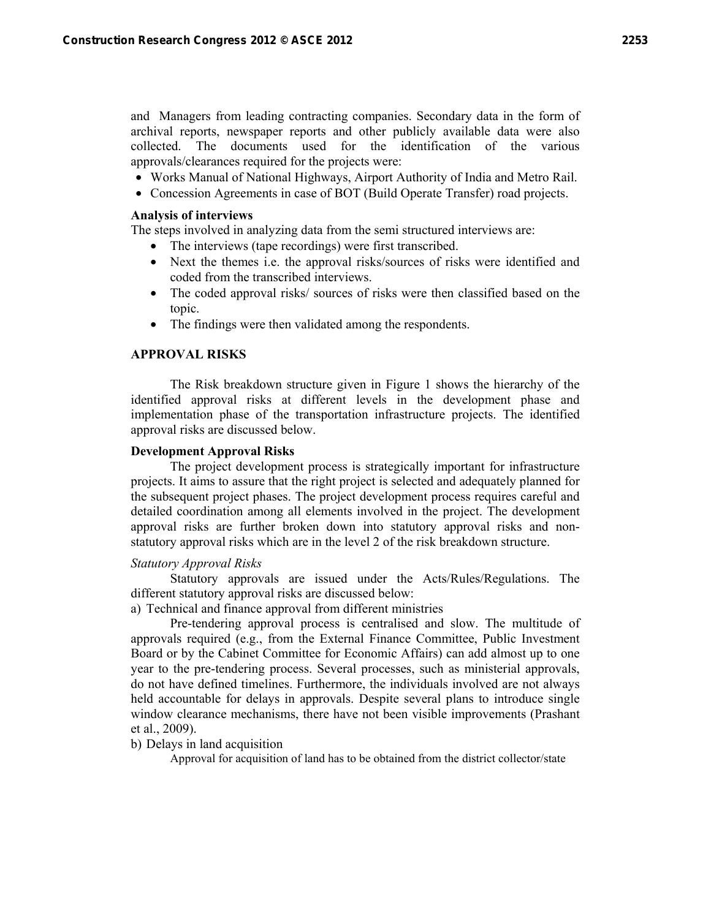and Managers from leading contracting companies. Secondary data in the form of archival reports, newspaper reports and other publicly available data were also collected. The documents used for the identification of the various approvals/clearances required for the projects were:

- Works Manual of National Highways, Airport Authority of India and Metro Rail.
- Concession Agreements in case of BOT (Build Operate Transfer) road projects.

### **Analysis of interviews**

The steps involved in analyzing data from the semi structured interviews are:

- The interviews (tape recordings) were first transcribed.
- Next the themes i.e. the approval risks/sources of risks were identified and coded from the transcribed interviews.
- The coded approval risks/ sources of risks were then classified based on the topic.
- The findings were then validated among the respondents.

## **APPROVAL RISKS**

The Risk breakdown structure given in Figure 1 shows the hierarchy of the identified approval risks at different levels in the development phase and implementation phase of the transportation infrastructure projects. The identified approval risks are discussed below.

### **Development Approval Risks**

The project development process is strategically important for infrastructure projects. It aims to assure that the right project is selected and adequately planned for the subsequent project phases. The project development process requires careful and detailed coordination among all elements involved in the project. The development approval risks are further broken down into statutory approval risks and nonstatutory approval risks which are in the level 2 of the risk breakdown structure.

### *Statutory Approval Risks*

Statutory approvals are issued under the Acts/Rules/Regulations. The different statutory approval risks are discussed below:

a) Technical and finance approval from different ministries

Pre-tendering approval process is centralised and slow. The multitude of approvals required (e.g., from the External Finance Committee, Public Investment Board or by the Cabinet Committee for Economic Affairs) can add almost up to one year to the pre-tendering process. Several processes, such as ministerial approvals, do not have defined timelines. Furthermore, the individuals involved are not always held accountable for delays in approvals. Despite several plans to introduce single window clearance mechanisms, there have not been visible improvements (Prashant et al., 2009).

b) Delays in land acquisition

Approval for acquisition of land has to be obtained from the district collector/state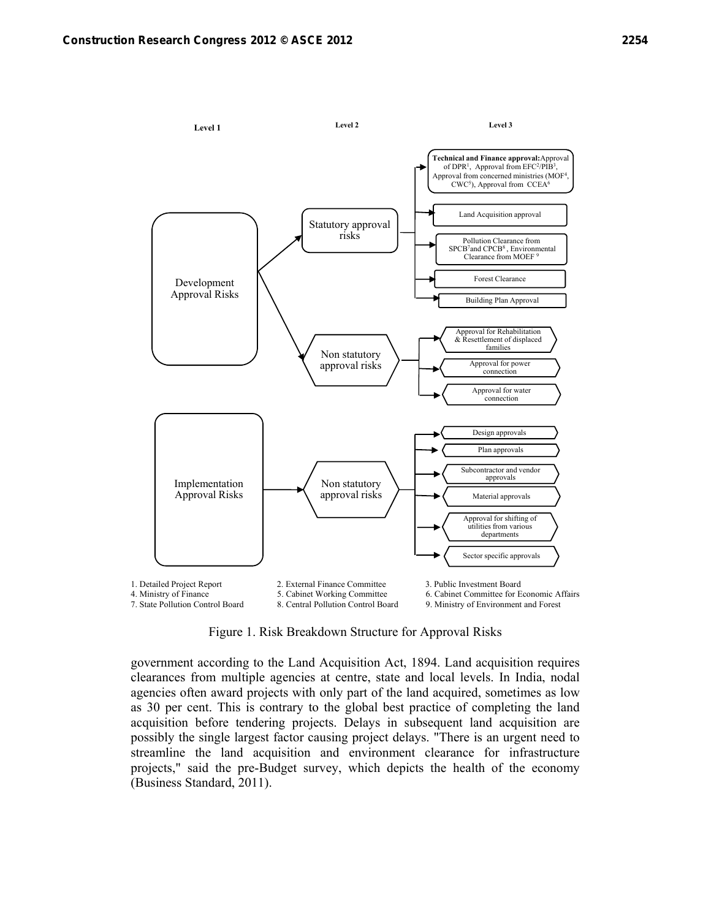

Figure 1. Risk Breakdown Structure for Approval Risks

government according to the Land Acquisition Act, 1894. Land acquisition requires clearances from multiple agencies at centre, state and local levels. In India, nodal agencies often award projects with only part of the land acquired, sometimes as low as 30 per cent. This is contrary to the global best practice of completing the land acquisition before tendering projects. Delays in subsequent land acquisition are possibly the single largest factor causing project delays. "There is an urgent need to streamline the land acquisition and environment clearance for infrastructure projects," said the pre-Budget survey, which depicts the health of the economy (Business Standard, 2011).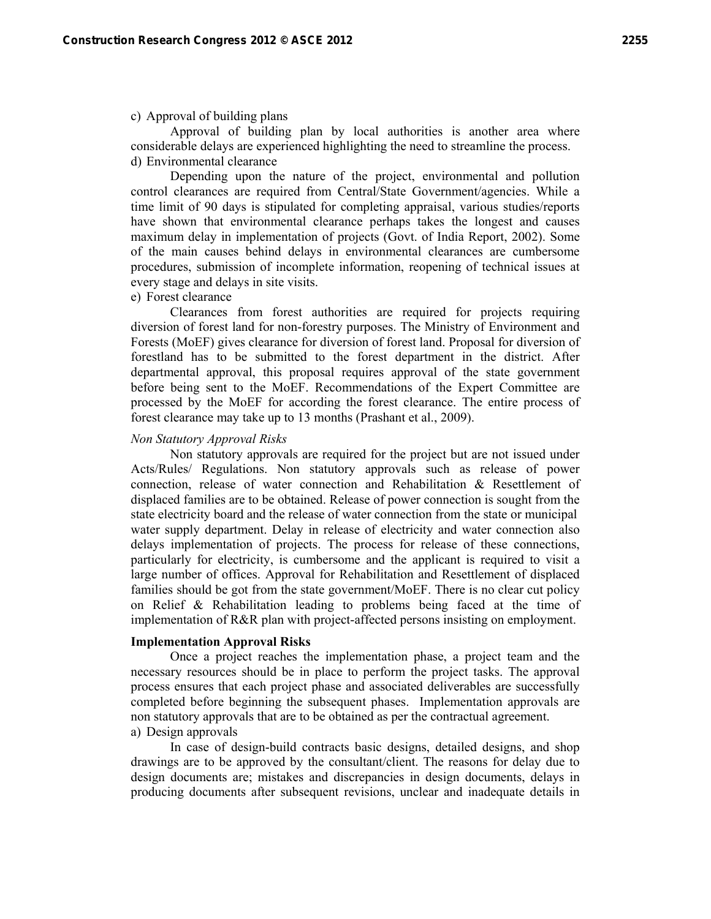### c) Approval of building plans

Approval of building plan by local authorities is another area where considerable delays are experienced highlighting the need to streamline the process. d) Environmental clearance

Depending upon the nature of the project, environmental and pollution control clearances are required from Central/State Government/agencies. While a time limit of 90 days is stipulated for completing appraisal, various studies/reports have shown that environmental clearance perhaps takes the longest and causes maximum delay in implementation of projects (Govt. of India Report, 2002). Some of the main causes behind delays in environmental clearances are cumbersome procedures, submission of incomplete information, reopening of technical issues at every stage and delays in site visits.

e) Forest clearance

Clearances from forest authorities are required for projects requiring diversion of forest land for non-forestry purposes. The Ministry of Environment and Forests (MoEF) gives clearance for diversion of forest land. Proposal for diversion of forestland has to be submitted to the forest department in the district. After departmental approval, this proposal requires approval of the state government before being sent to the MoEF. Recommendations of the Expert Committee are processed by the MoEF for according the forest clearance. The entire process of forest clearance may take up to 13 months (Prashant et al., 2009).

### *Non Statutory Approval Risks*

Non statutory approvals are required for the project but are not issued under Acts/Rules/ Regulations. Non statutory approvals such as release of power connection, release of water connection and Rehabilitation & Resettlement of displaced families are to be obtained. Release of power connection is sought from the state electricity board and the release of water connection from the state or municipal water supply department. Delay in release of electricity and water connection also delays implementation of projects. The process for release of these connections, particularly for electricity, is cumbersome and the applicant is required to visit a large number of offices. Approval for Rehabilitation and Resettlement of displaced families should be got from the state government/MoEF. There is no clear cut policy on Relief & Rehabilitation leading to problems being faced at the time of implementation of R&R plan with project-affected persons insisting on employment.

#### **Implementation Approval Risks**

Once a project reaches the implementation phase, a project team and the necessary resources should be in place to perform the project tasks. The approval process ensures that each project phase and associated deliverables are successfully completed before beginning the subsequent phases. Implementation approvals are non statutory approvals that are to be obtained as per the contractual agreement. a) Design approvals

In case of design-build contracts basic designs, detailed designs, and shop drawings are to be approved by the consultant/client. The reasons for delay due to design documents are; mistakes and discrepancies in design documents, delays in producing documents after subsequent revisions, unclear and inadequate details in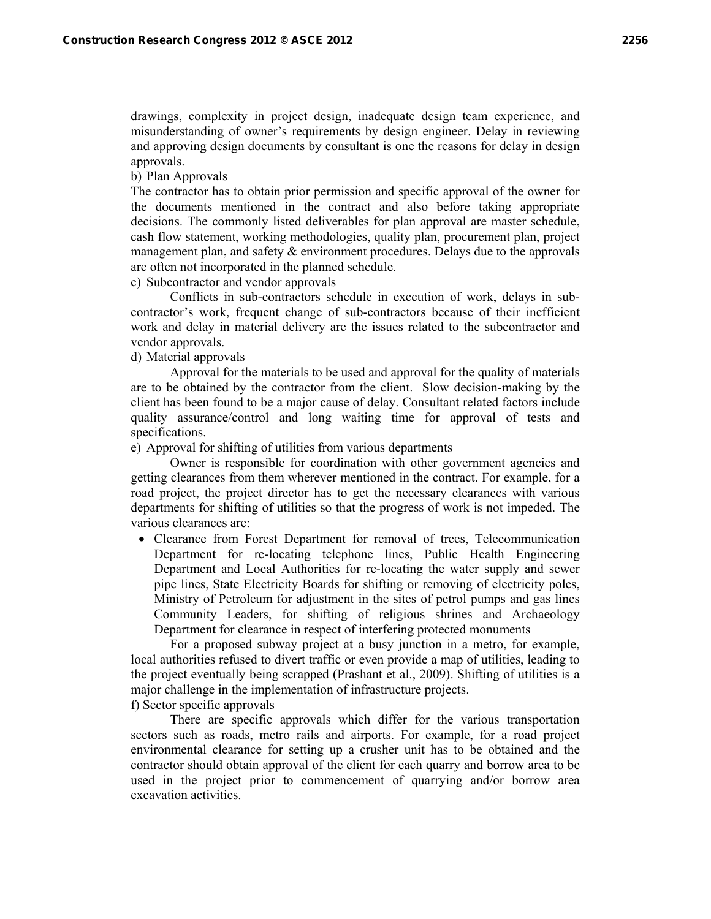drawings, complexity in project design, inadequate design team experience, and misunderstanding of owner's requirements by design engineer. Delay in reviewing and approving design documents by consultant is one the reasons for delay in design approvals.

b) Plan Approvals

The contractor has to obtain prior permission and specific approval of the owner for the documents mentioned in the contract and also before taking appropriate decisions. The commonly listed deliverables for plan approval are master schedule, cash flow statement, working methodologies, quality plan, procurement plan, project management plan, and safety  $\&$  environment procedures. Delays due to the approvals are often not incorporated in the planned schedule.

c) Subcontractor and vendor approvals

Conflicts in sub-contractors schedule in execution of work, delays in subcontractor's work, frequent change of sub-contractors because of their inefficient work and delay in material delivery are the issues related to the subcontractor and vendor approvals.

d) Material approvals

Approval for the materials to be used and approval for the quality of materials are to be obtained by the contractor from the client. Slow decision-making by the client has been found to be a major cause of delay. Consultant related factors include quality assurance/control and long waiting time for approval of tests and specifications.

e) Approval for shifting of utilities from various departments

Owner is responsible for coordination with other government agencies and getting clearances from them wherever mentioned in the contract. For example, for a road project, the project director has to get the necessary clearances with various departments for shifting of utilities so that the progress of work is not impeded. The various clearances are:

• Clearance from Forest Department for removal of trees, Telecommunication Department for re-locating telephone lines, Public Health Engineering Department and Local Authorities for re-locating the water supply and sewer pipe lines, State Electricity Boards for shifting or removing of electricity poles, Ministry of Petroleum for adjustment in the sites of petrol pumps and gas lines Community Leaders, for shifting of religious shrines and Archaeology Department for clearance in respect of interfering protected monuments

For a proposed subway project at a busy junction in a metro, for example, local authorities refused to divert traffic or even provide a map of utilities, leading to the project eventually being scrapped (Prashant et al., 2009). Shifting of utilities is a major challenge in the implementation of infrastructure projects.

f) Sector specific approvals

 There are specific approvals which differ for the various transportation sectors such as roads, metro rails and airports. For example, for a road project environmental clearance for setting up a crusher unit has to be obtained and the contractor should obtain approval of the client for each quarry and borrow area to be used in the project prior to commencement of quarrying and/or borrow area excavation activities.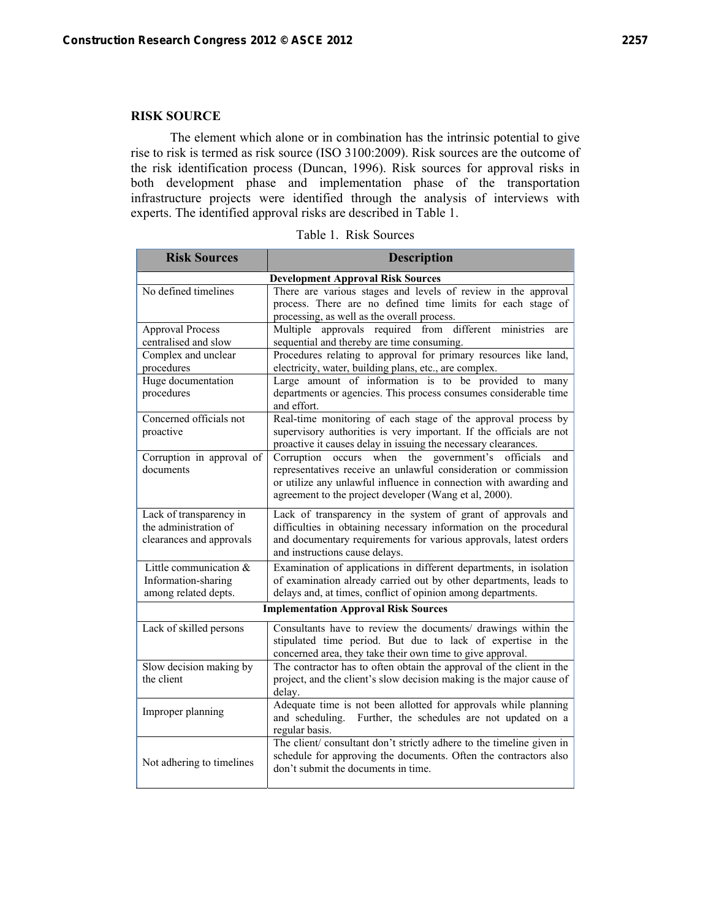### **RISK SOURCE**

The element which alone or in combination has the intrinsic potential to give rise to risk is termed as risk source (ISO 3100:2009). Risk sources are the outcome of the risk identification process (Duncan, 1996). Risk sources for approval risks in both development phase and implementation phase of the transportation infrastructure projects were identified through the analysis of interviews with experts. The identified approval risks are described in Table 1.

| Table 1. Risk Sources |
|-----------------------|
|-----------------------|

| <b>Risk Sources</b>                                                          | <b>Description</b>                                                                                                                                                                                                                                            |  |
|------------------------------------------------------------------------------|---------------------------------------------------------------------------------------------------------------------------------------------------------------------------------------------------------------------------------------------------------------|--|
| <b>Development Approval Risk Sources</b>                                     |                                                                                                                                                                                                                                                               |  |
| No defined timelines                                                         | There are various stages and levels of review in the approval<br>process. There are no defined time limits for each stage of<br>processing, as well as the overall process.                                                                                   |  |
| <b>Approval Process</b><br>centralised and slow                              | Multiple approvals required from<br>different<br>ministries<br>are<br>sequential and thereby are time consuming.                                                                                                                                              |  |
| Complex and unclear<br>procedures                                            | Procedures relating to approval for primary resources like land,<br>electricity, water, building plans, etc., are complex.                                                                                                                                    |  |
| Huge documentation<br>procedures                                             | Large amount of information is to be provided to many<br>departments or agencies. This process consumes considerable time<br>and effort.                                                                                                                      |  |
| Concerned officials not<br>proactive                                         | Real-time monitoring of each stage of the approval process by<br>supervisory authorities is very important. If the officials are not<br>proactive it causes delay in issuing the necessary clearances.                                                        |  |
| Corruption in approval of<br>documents                                       | Corruption occurs when the government's<br>officials<br>and<br>representatives receive an unlawful consideration or commission<br>or utilize any unlawful influence in connection with awarding and<br>agreement to the project developer (Wang et al, 2000). |  |
| Lack of transparency in<br>the administration of<br>clearances and approvals | Lack of transparency in the system of grant of approvals and<br>difficulties in obtaining necessary information on the procedural<br>and documentary requirements for various approvals, latest orders<br>and instructions cause delays.                      |  |
| Little communication $&$<br>Information-sharing<br>among related depts.      | Examination of applications in different departments, in isolation<br>of examination already carried out by other departments, leads to<br>delays and, at times, conflict of opinion among departments.                                                       |  |
| <b>Implementation Approval Risk Sources</b>                                  |                                                                                                                                                                                                                                                               |  |
| Lack of skilled persons                                                      | Consultants have to review the documents/ drawings within the<br>stipulated time period. But due to lack of expertise in the<br>concerned area, they take their own time to give approval.                                                                    |  |
| Slow decision making by<br>the client                                        | The contractor has to often obtain the approval of the client in the<br>project, and the client's slow decision making is the major cause of<br>delay.                                                                                                        |  |
| Improper planning                                                            | Adequate time is not been allotted for approvals while planning<br>Further, the schedules are not updated on a<br>and scheduling.<br>regular basis.                                                                                                           |  |
| Not adhering to timelines                                                    | The client/consultant don't strictly adhere to the timeline given in<br>schedule for approving the documents. Often the contractors also<br>don't submit the documents in time.                                                                               |  |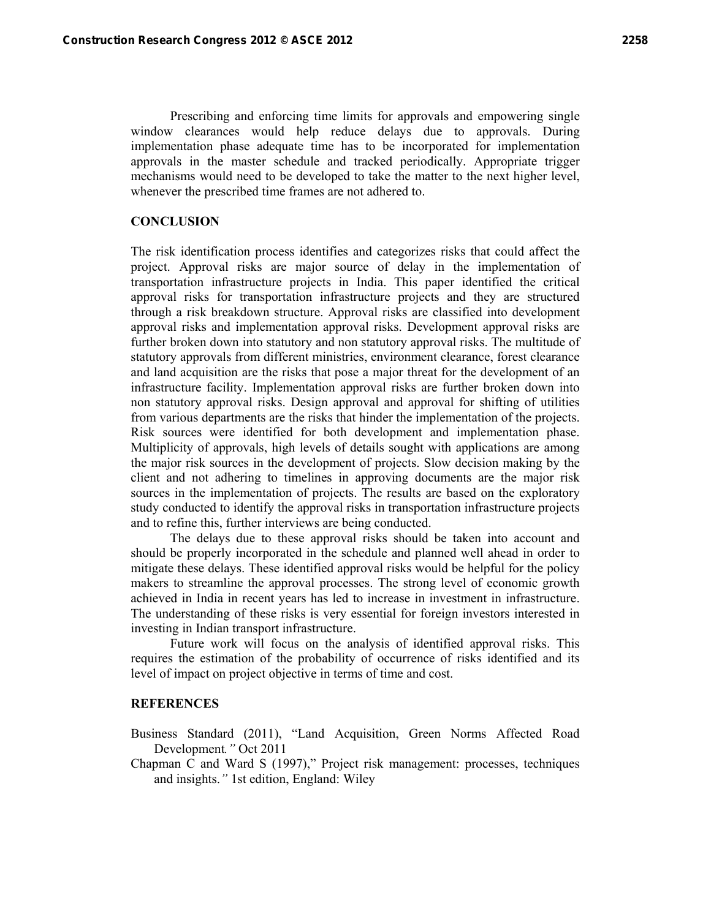Prescribing and enforcing time limits for approvals and empowering single window clearances would help reduce delays due to approvals. During implementation phase adequate time has to be incorporated for implementation approvals in the master schedule and tracked periodically. Appropriate trigger mechanisms would need to be developed to take the matter to the next higher level, whenever the prescribed time frames are not adhered to.

### **CONCLUSION**

The risk identification process identifies and categorizes risks that could affect the project. Approval risks are major source of delay in the implementation of transportation infrastructure projects in India. This paper identified the critical approval risks for transportation infrastructure projects and they are structured through a risk breakdown structure. Approval risks are classified into development approval risks and implementation approval risks. Development approval risks are further broken down into statutory and non statutory approval risks. The multitude of statutory approvals from different ministries, environment clearance, forest clearance and land acquisition are the risks that pose a major threat for the development of an infrastructure facility. Implementation approval risks are further broken down into non statutory approval risks. Design approval and approval for shifting of utilities from various departments are the risks that hinder the implementation of the projects. Risk sources were identified for both development and implementation phase. Multiplicity of approvals, high levels of details sought with applications are among the major risk sources in the development of projects. Slow decision making by the client and not adhering to timelines in approving documents are the major risk sources in the implementation of projects. The results are based on the exploratory study conducted to identify the approval risks in transportation infrastructure projects and to refine this, further interviews are being conducted.

The delays due to these approval risks should be taken into account and should be properly incorporated in the schedule and planned well ahead in order to mitigate these delays. These identified approval risks would be helpful for the policy makers to streamline the approval processes. The strong level of economic growth achieved in India in recent years has led to increase in investment in infrastructure. The understanding of these risks is very essential for foreign investors interested in investing in Indian transport infrastructure.

Future work will focus on the analysis of identified approval risks. This requires the estimation of the probability of occurrence of risks identified and its level of impact on project objective in terms of time and cost.

#### **REFERENCES**

- Business Standard (2011), "Land Acquisition, Green Norms Affected Road Development*."* Oct 2011
- Chapman C and Ward S (1997)," Project risk management: processes, techniques and insights.*"* 1st edition, England: Wiley